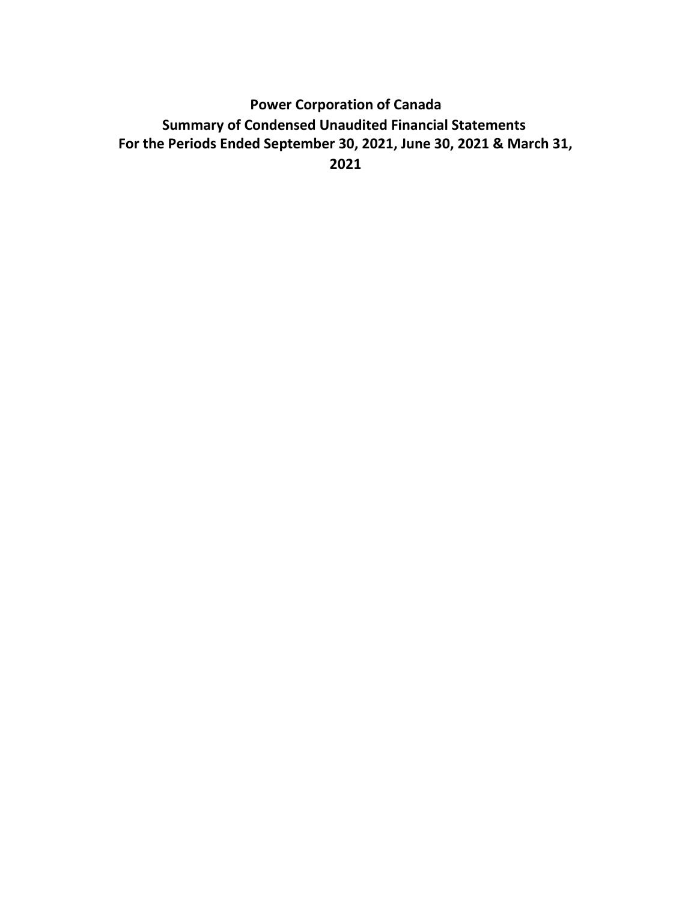# **For the Periods Ended September 30, 2021, June 30, 2021 & March 31, 2021 Power Corporation of Canada Summary of Condensed Unaudited Financial Statements**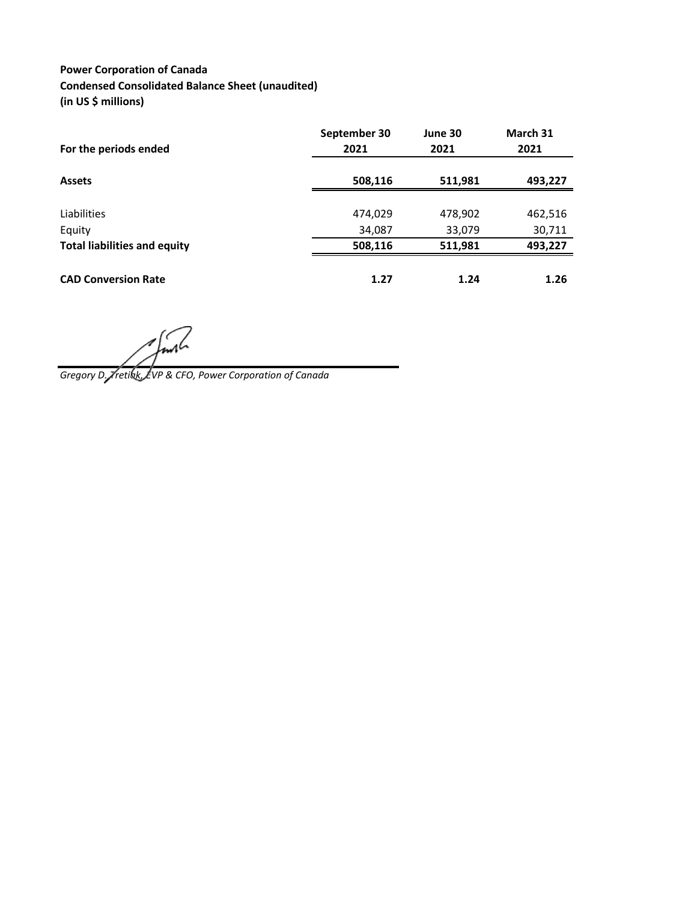### **Power Corporation of Canada Condensed Consolidated Balance Sheet (unaudited) (in US \$ millions)**

| For the periods ended               | September 30<br>2021 | June 30<br>2021 | March 31<br>2021 |
|-------------------------------------|----------------------|-----------------|------------------|
|                                     |                      |                 |                  |
| <b>Assets</b>                       | 508,116              | 511,981         | 493,227          |
|                                     |                      |                 |                  |
| Liabilities                         | 474,029              | 478,902         | 462,516          |
| Equity                              | 34,087               | 33,079          | 30,711           |
| <b>Total liabilities and equity</b> | 508,116              | 511,981         | 493,227          |
| <b>CAD Conversion Rate</b>          | 1.27                 | 1.24            | 1.26             |

*Gregory D. Tretiak, EVP & CFO, Power Corporation of Canada*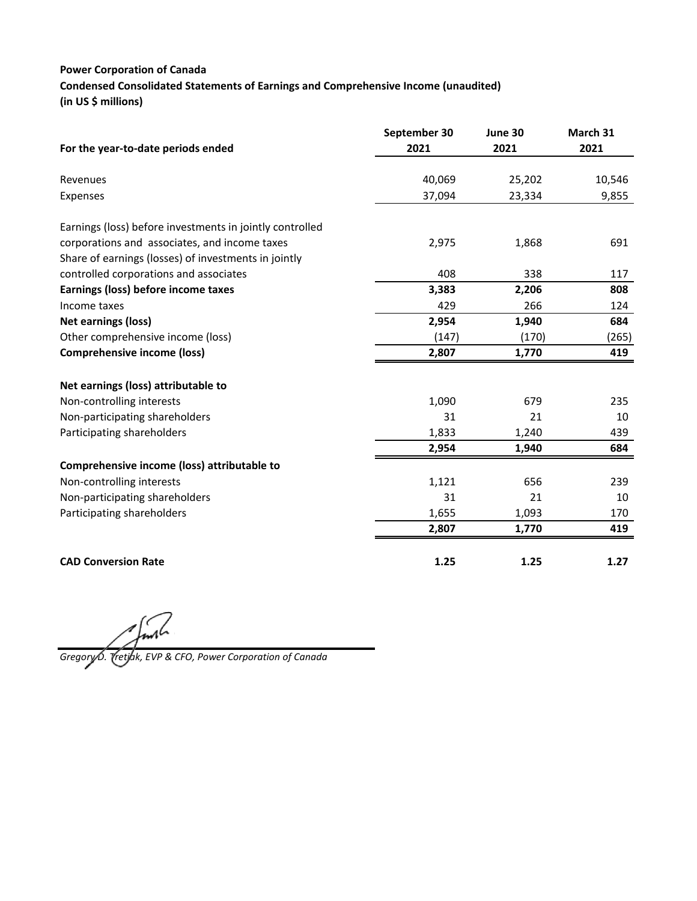### **Power Corporation of Canada Condensed Consolidated Statements of Earnings and Comprehensive Income (unaudited) (in US \$ millions)**

|                                                          | September 30 | June 30 | March 31 |
|----------------------------------------------------------|--------------|---------|----------|
| For the year-to-date periods ended                       | 2021         | 2021    | 2021     |
| Revenues                                                 | 40,069       | 25,202  | 10,546   |
| Expenses                                                 | 37,094       | 23,334  | 9,855    |
| Earnings (loss) before investments in jointly controlled |              |         |          |
| corporations and associates, and income taxes            | 2,975        | 1,868   | 691      |
| Share of earnings (losses) of investments in jointly     |              |         |          |
| controlled corporations and associates                   | 408          | 338     | 117      |
| Earnings (loss) before income taxes                      | 3,383        | 2,206   | 808      |
| Income taxes                                             | 429          | 266     | 124      |
| <b>Net earnings (loss)</b>                               | 2,954        | 1,940   | 684      |
| Other comprehensive income (loss)                        | (147)        | (170)   | (265)    |
| <b>Comprehensive income (loss)</b>                       | 2,807        | 1,770   | 419      |
| Net earnings (loss) attributable to                      |              |         |          |
| Non-controlling interests                                | 1,090        | 679     | 235      |
| Non-participating shareholders                           | 31           | 21      | 10       |
| Participating shareholders                               | 1,833        | 1,240   | 439      |
|                                                          | 2,954        | 1,940   | 684      |
| Comprehensive income (loss) attributable to              |              |         |          |
| Non-controlling interests                                | 1,121        | 656     | 239      |
| Non-participating shareholders                           | 31           | 21      | 10       |
| Participating shareholders                               | 1,655        | 1,093   | 170      |
|                                                          | 2,807        | 1,770   | 419      |
| <b>CAD Conversion Rate</b>                               | 1.25         | 1.25    | 1.27     |

*Gregory D. Tretiak, EVP & CFO, Power Corporation of Canada*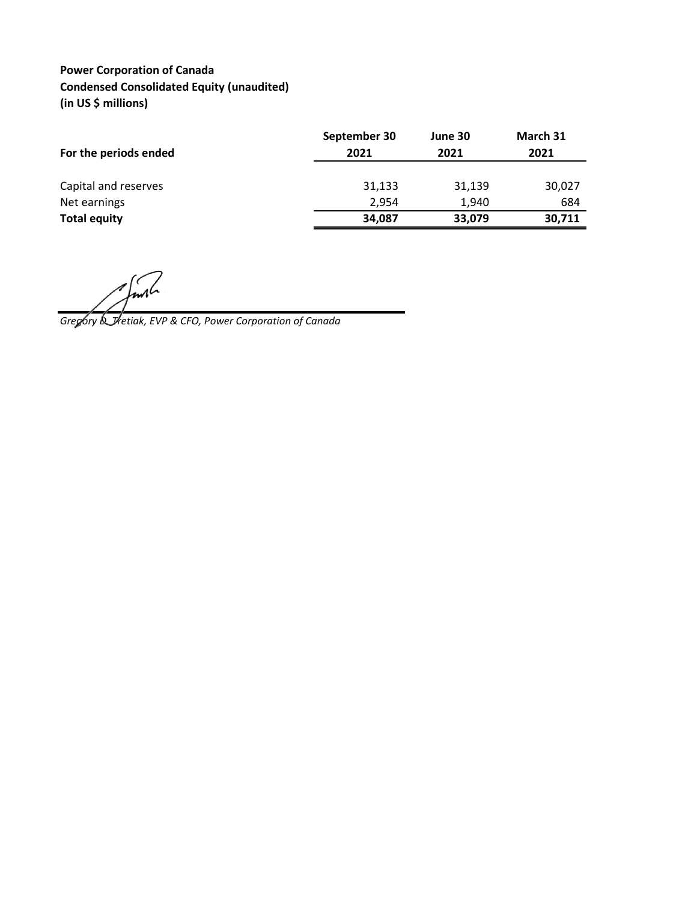# **Power Corporation of Canada Condensed Consolidated Equity (unaudited) (in US \$ millions)**

| September 30<br>2021 | June 30<br>2021 | March 31<br>2021 |
|----------------------|-----------------|------------------|
| 31,133               | 31,139          | 30,027           |
| 2.954                | 1.940           | 684              |
| 34,087               | 33,079          | 30,711           |
|                      |                 |                  |

*Gregory D. Tretiak, EVP & CFO, Power Corporation of Canada*